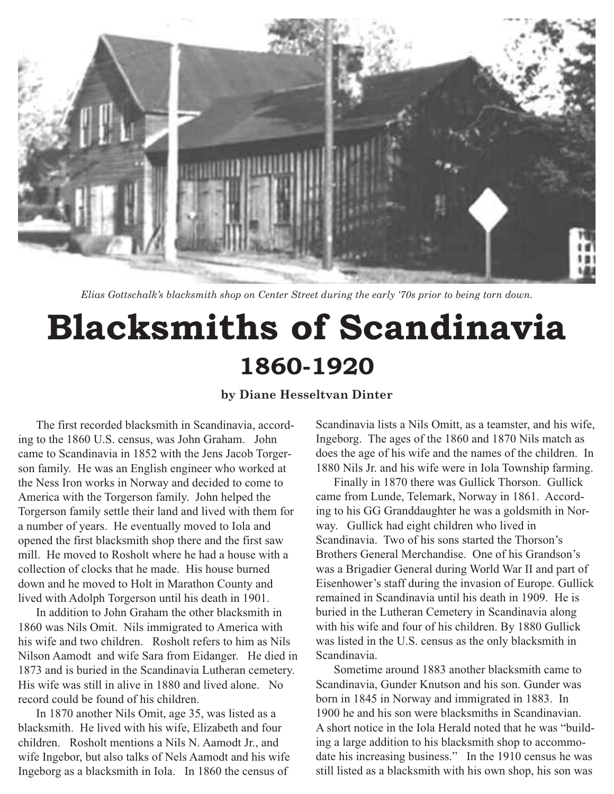

*Elias Gottschalk's blacksmith shop on Center Street during the early '70s prior to being torn down.*

## **Blacksmiths of Scandinavia 1860-1920**

## **by Diane Hesseltvan Dinter**

The first recorded blacksmith in Scandinavia, according to the 1860 U.S. census, was John Graham. John came to Scandinavia in 1852 with the Jens Jacob Torgerson family. He was an English engineer who worked at the Ness Iron works in Norway and decided to come to America with the Torgerson family. John helped the Torgerson family settle their land and lived with them for a number of years. He eventually moved to Iola and opened the first blacksmith shop there and the first saw mill. He moved to Rosholt where he had a house with a collection of clocks that he made. His house burned down and he moved to Holt in Marathon County and lived with Adolph Torgerson until his death in 1901.

In addition to John Graham the other blacksmith in 1860 was Nils Omit. Nils immigrated to America with his wife and two children. Rosholt refers to him as Nils Nilson Aamodt and wife Sara from Eidanger. He died in 1873 and is buried in the Scandinavia Lutheran cemetery. His wife was still in alive in 1880 and lived alone. No record could be found of his children.

In 1870 another Nils Omit, age 35, was listed as a blacksmith. He lived with his wife, Elizabeth and four children. Rosholt mentions a Nils N. Aamodt Jr., and wife Ingebor, but also talks of Nels Aamodt and his wife Ingeborg as a blacksmith in Iola. In 1860 the census of

Scandinavia lists a Nils Omitt, as a teamster, and his wife, Ingeborg. The ages of the 1860 and 1870 Nils match as does the age of his wife and the names of the children. In 1880 Nils Jr. and his wife were in Iola Township farming.

Finally in 1870 there was Gullick Thorson. Gullick came from Lunde, Telemark, Norway in 1861. According to his GG Granddaughter he was a goldsmith in Norway. Gullick had eight children who lived in Scandinavia. Two of his sons started the Thorson's Brothers General Merchandise. One of his Grandson's was a Brigadier General during World War II and part of Eisenhower's staff during the invasion of Europe. Gullick remained in Scandinavia until his death in 1909. He is buried in the Lutheran Cemetery in Scandinavia along with his wife and four of his children. By 1880 Gullick was listed in the U.S. census as the only blacksmith in Scandinavia.

Sometime around 1883 another blacksmith came to Scandinavia, Gunder Knutson and his son. Gunder was born in 1845 in Norway and immigrated in 1883. In 1900 he and his son were blacksmiths in Scandinavian. A short notice in the Iola Herald noted that he was "building a large addition to his blacksmith shop to accommodate his increasing business." In the 1910 census he was still listed as a blacksmith with his own shop, his son was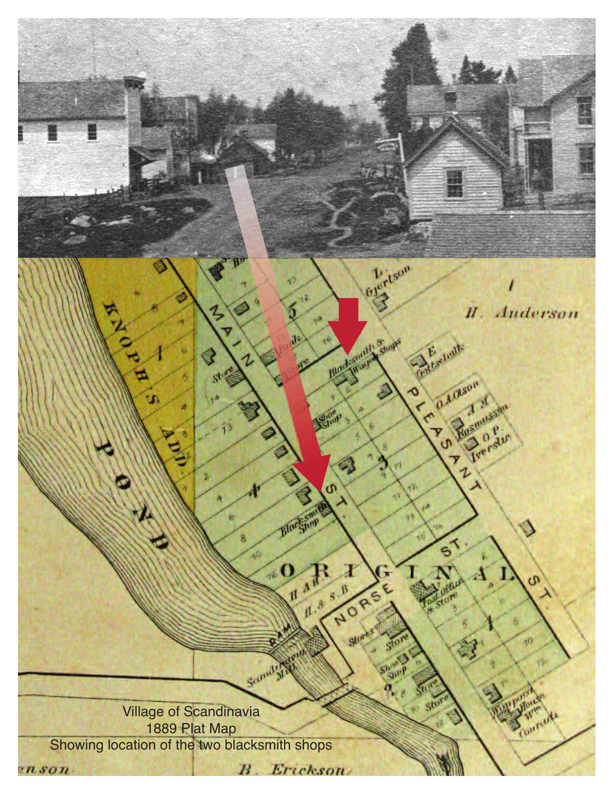